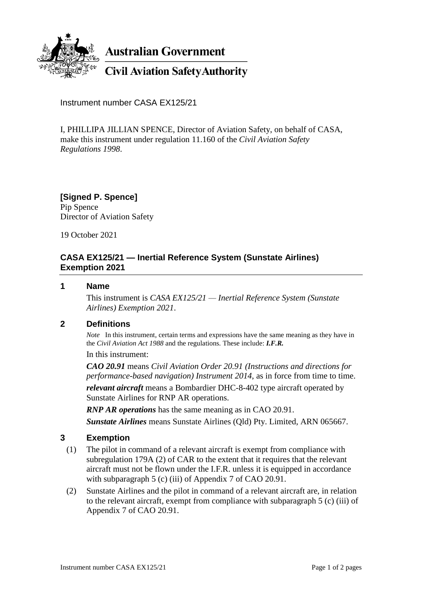

**Australian Government** 

**Civil Aviation Safety Authority** 

Instrument number CASA EX125/21

I, PHILLIPA JILLIAN SPENCE, Director of Aviation Safety, on behalf of CASA, make this instrument under regulation 11.160 of the *Civil Aviation Safety Regulations 1998*.

**[Signed P. Spence]** Pip Spence Director of Aviation Safety

19 October 2021

## **CASA EX125/21 — Inertial Reference System (Sunstate Airlines) Exemption 2021**

#### **1 Name**

This instrument is *CASA EX125/21 — Inertial Reference System (Sunstate Airlines) Exemption 2021*.

### **2 Definitions**

*Note* In this instrument, certain terms and expressions have the same meaning as they have in the *Civil Aviation Act 1988* and the regulations. These include: *I.F.R.*

In this instrument:

*CAO 20.91* means *Civil Aviation Order 20.91 (Instructions and directions for performance-based navigation) Instrument 2014*, as in force from time to time.

*relevant aircraft* means a Bombardier DHC-8-402 type aircraft operated by Sunstate Airlines for RNP AR operations.

*RNP AR operations* has the same meaning as in CAO 20.91. *Sunstate Airlines* means Sunstate Airlines (Qld) Pty. Limited, ARN 065667.

# **3 Exemption**

- (1) The pilot in command of a relevant aircraft is exempt from compliance with subregulation 179A (2) of CAR to the extent that it requires that the relevant aircraft must not be flown under the I.F.R. unless it is equipped in accordance with subparagraph 5 (c) (iii) of Appendix 7 of CAO 20.91.
- (2) Sunstate Airlines and the pilot in command of a relevant aircraft are, in relation to the relevant aircraft, exempt from compliance with subparagraph 5 (c) (iii) of Appendix 7 of CAO 20.91.